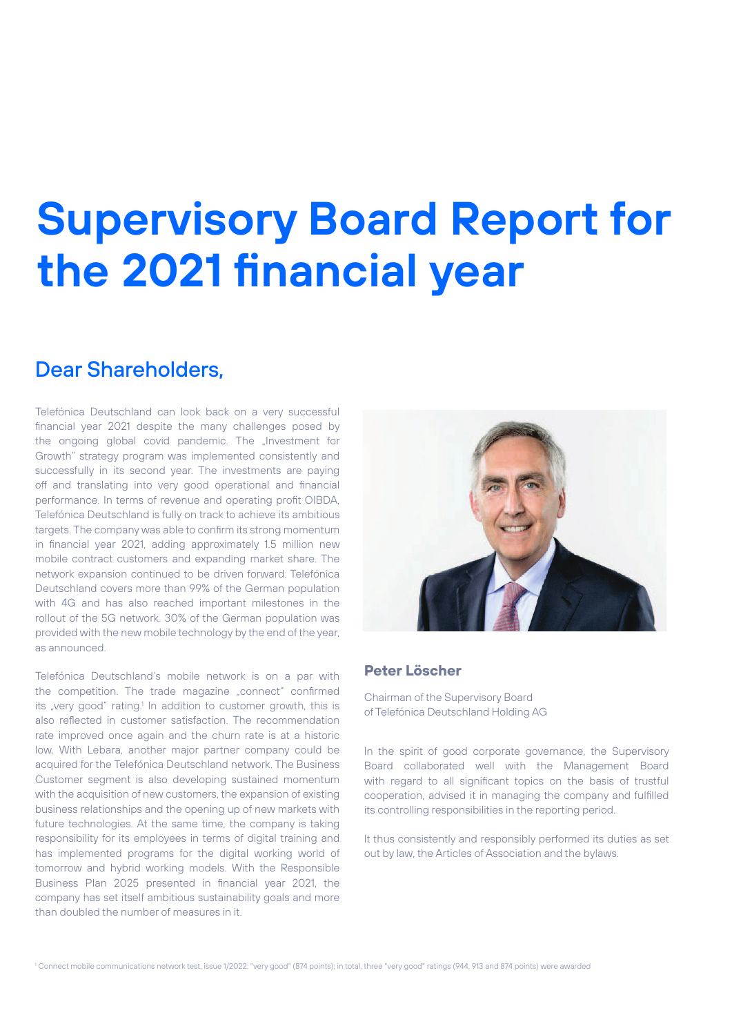# **Supervisory Board Report for the 2021 financial year**

#### Dear Shareholders,

Telefónica Deutschland can look back on a very successful financial year 2021 despite the many challenges posed by the ongoing global covid pandemic. The "Investment for Growth" strategy program was implemented consistently and successfully in its second year. The investments are paying off and translating into very good operational and financial performance. In terms of revenue and operating profit OIBDA, Telefónica Deutschland is fully on track to achieve its ambitious targets. The company was able to confirm its strong momentum in financial year 2021, adding approximately 1.5 million new mobile contract customers and expanding market share. The network expansion continued to be driven forward. Telefónica Deutschland covers more than 99% of the German population with 4G and has also reached important milestones in the rollout of the 5G network. 30% of the German population was provided with the new mobile technology by the end of the year, as announced.

Telefónica Deutschland's mobile network is on a par with the competition. The trade magazine "connect" confirmed its "very good" rating.<sup>1</sup> In addition to customer growth, this is also reflected in customer satisfaction. The recommendation rate improved once again and the churn rate is at a historic low. With Lebara, another major partner company could be acquired for the Telefónica Deutschland network. The Business Customer segment is also developing sustained momentum with the acquisition of new customers, the expansion of existing business relationships and the opening up of new markets with future technologies. At the same time, the company is taking responsibility for its employees in terms of digital training and has implemented programs for the digital working world of tomorrow and hybrid working models. With the Responsible Business Plan 2025 presented in financial year 2021, the company has set itself ambitious sustainability goals and more than doubled the number of measures in it.



#### **Peter Löscher**

Chairman of the Supervisory Board of Telefónica Deutschland Holding AG

In the spirit of good corporate governance, the Supervisory Board collaborated well with the Management Board with regard to all significant topics on the basis of trustful cooperation, advised it in managing the company and fulfilled its controlling responsibilities in the reporting period.

It thus consistently and responsibly performed its duties as set out by law, the Articles of Association and the bylaws.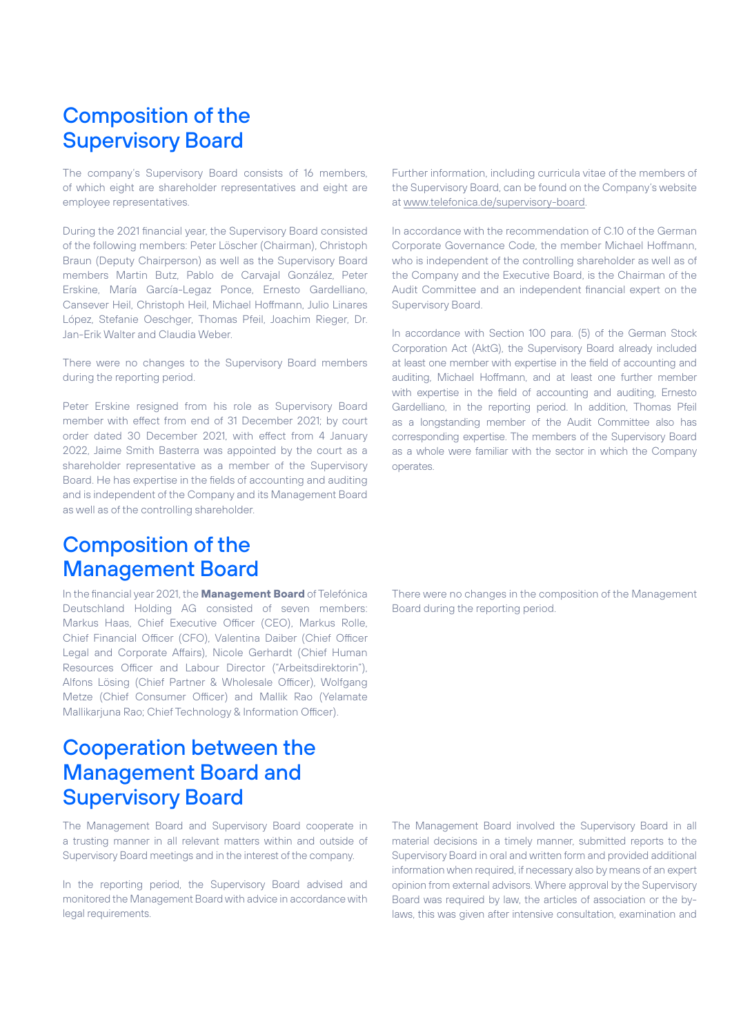### Composition of the Supervisory Board

The company's Supervisory Board consists of 16 members, of which eight are shareholder representatives and eight are employee representatives.

During the 2021 financial year, the Supervisory Board consisted of the following members: Peter Löscher (Chairman), Christoph Braun (Deputy Chairperson) as well as the Supervisory Board members Martin Butz, Pablo de Carvajal González, Peter Erskine, María García-Legaz Ponce, Ernesto Gardelliano, Cansever Heil, Christoph Heil, Michael Hoffmann, Julio Linares López, Stefanie Oeschger, Thomas Pfeil, Joachim Rieger, Dr. Jan-Erik Walter and Claudia Weber.

There were no changes to the Supervisory Board members during the reporting period.

Peter Erskine resigned from his role as Supervisory Board member with effect from end of 31 December 2021; by court order dated 30 December 2021, with effect from 4 January 2022, Jaime Smith Basterra was appointed by the court as a shareholder representative as a member of the Supervisory Board. He has expertise in the fields of accounting and auditing and is independent of the Company and its Management Board as well as of the controlling shareholder.

#### Composition of the Management Board

In the financial year 2021, the **Management Board** of Telefónica Deutschland Holding AG consisted of seven members: Markus Haas, Chief Executive Officer (CEO), Markus Rolle, Chief Financial Officer (CFO), Valentina Daiber (Chief Officer Legal and Corporate Affairs), Nicole Gerhardt (Chief Human Resources Officer and Labour Director ("Arbeitsdirektorin"), Alfons Lösing (Chief Partner & Wholesale Officer), Wolfgang Metze (Chief Consumer Officer) and Mallik Rao (Yelamate Mallikarjuna Rao; Chief Technology & Information Officer).

#### Cooperation between the Management Board and Supervisory Board

The Management Board and Supervisory Board cooperate in a trusting manner in all relevant matters within and outside of Supervisory Board meetings and in the interest of the company.

In the reporting period, the Supervisory Board advised and monitored the Management Board with advice in accordance with legal requirements.

Further information, including curricula vitae of the members of the Supervisory Board, can be found on the Company's website at www.telefonica.de/supervisory-board.

In accordance with the recommendation of C.10 of the German Corporate Governance Code, the member Michael Hoffmann, who is independent of the controlling shareholder as well as of the Company and the Executive Board, is the Chairman of the Audit Committee and an independent financial expert on the Supervisory Board.

In accordance with Section 100 para. (5) of the German Stock Corporation Act (AktG), the Supervisory Board already included at least one member with expertise in the field of accounting and auditing, Michael Hoffmann, and at least one further member with expertise in the field of accounting and auditing, Ernesto Gardelliano, in the reporting period. In addition, Thomas Pfeil as a longstanding member of the Audit Committee also has corresponding expertise. The members of the Supervisory Board as a whole were familiar with the sector in which the Company operates.

There were no changes in the composition of the Management Board during the reporting period.

The Management Board involved the Supervisory Board in all material decisions in a timely manner, submitted reports to the Supervisory Board in oral and written form and provided additional information when required, if necessary also by means of an expert opinion from external advisors. Where approval by the Supervisory Board was required by law, the articles of association or the bylaws, this was given after intensive consultation, examination and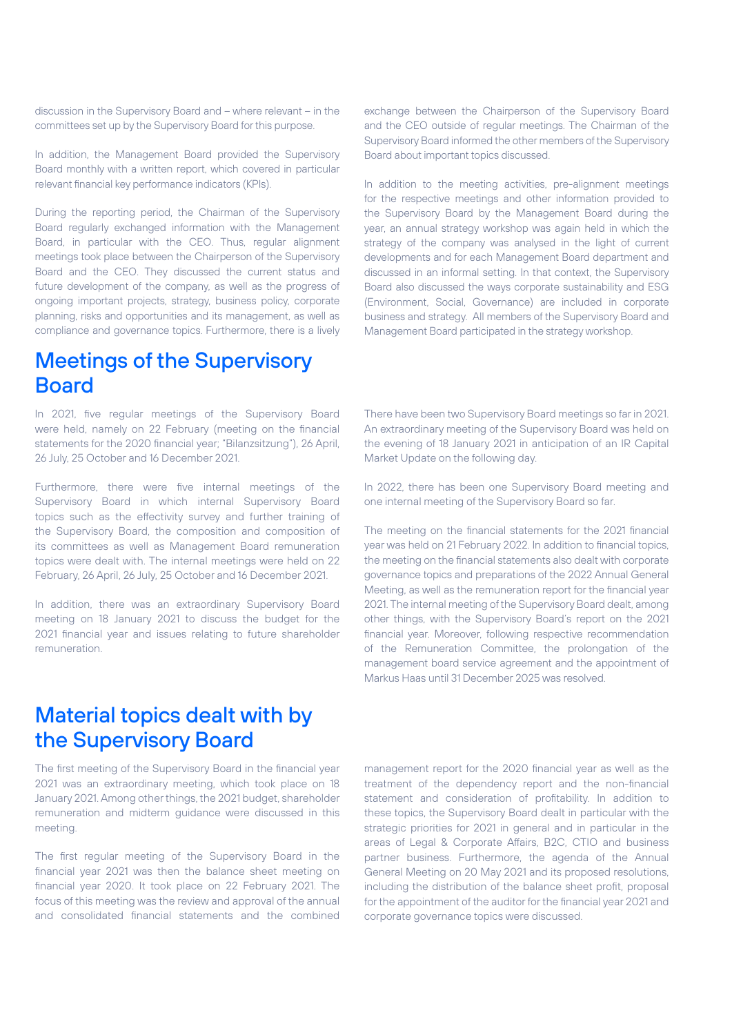discussion in the Supervisory Board and – where relevant – in the committees set up by the Supervisory Board for this purpose.

In addition, the Management Board provided the Supervisory Board monthly with a written report, which covered in particular relevant financial key performance indicators (KPIs).

During the reporting period, the Chairman of the Supervisory Board regularly exchanged information with the Management Board, in particular with the CEO. Thus, regular alignment meetings took place between the Chairperson of the Supervisory Board and the CEO. They discussed the current status and future development of the company, as well as the progress of ongoing important projects, strategy, business policy, corporate planning, risks and opportunities and its management, as well as compliance and governance topics. Furthermore, there is a lively

#### Meetings of the Supervisory Board

In 2021, five regular meetings of the Supervisory Board were held, namely on 22 February (meeting on the financial statements for the 2020 financial year; "Bilanzsitzung"), 26 April, 26 July, 25 October and 16 December 2021.

Furthermore, there were five internal meetings of the Supervisory Board in which internal Supervisory Board topics such as the effectivity survey and further training of the Supervisory Board, the composition and composition of its committees as well as Management Board remuneration topics were dealt with. The internal meetings were held on 22 February, 26 April, 26 July, 25 October and 16 December 2021.

In addition, there was an extraordinary Supervisory Board meeting on 18 January 2021 to discuss the budget for the 2021 financial year and issues relating to future shareholder remuneration.

exchange between the Chairperson of the Supervisory Board and the CEO outside of regular meetings. The Chairman of the Supervisory Board informed the other members of the Supervisory Board about important topics discussed.

In addition to the meeting activities, pre-alignment meetings for the respective meetings and other information provided to the Supervisory Board by the Management Board during the year, an annual strategy workshop was again held in which the strategy of the company was analysed in the light of current developments and for each Management Board department and discussed in an informal setting. In that context, the Supervisory Board also discussed the ways corporate sustainability and ESG (Environment, Social, Governance) are included in corporate business and strategy. All members of the Supervisory Board and Management Board participated in the strategy workshop.

There have been two Supervisory Board meetings so far in 2021. An extraordinary meeting of the Supervisory Board was held on the evening of 18 January 2021 in anticipation of an IR Capital Market Update on the following day.

In 2022, there has been one Supervisory Board meeting and one internal meeting of the Supervisory Board so far.

The meeting on the financial statements for the 2021 financial year was held on 21 February 2022. In addition to financial topics, the meeting on the financial statements also dealt with corporate governance topics and preparations of the 2022 Annual General Meeting, as well as the remuneration report for the financial year 2021. The internal meeting of the Supervisory Board dealt, among other things, with the Supervisory Board's report on the 2021 financial year. Moreover, following respective recommendation of the Remuneration Committee, the prolongation of the management board service agreement and the appointment of Markus Haas until 31 December 2025 was resolved.

#### Material topics dealt with by the Supervisory Board

The first meeting of the Supervisory Board in the financial year 2021 was an extraordinary meeting, which took place on 18 January 2021. Among other things, the 2021 budget, shareholder remuneration and midterm guidance were discussed in this meeting.

The first regular meeting of the Supervisory Board in the financial year 2021 was then the balance sheet meeting on financial year 2020. It took place on 22 February 2021. The focus of this meeting was the review and approval of the annual and consolidated financial statements and the combined management report for the 2020 financial year as well as the treatment of the dependency report and the non-financial statement and consideration of profitability. In addition to these topics, the Supervisory Board dealt in particular with the strategic priorities for 2021 in general and in particular in the areas of Legal & Corporate Affairs, B2C, CTIO and business partner business. Furthermore, the agenda of the Annual General Meeting on 20 May 2021 and its proposed resolutions, including the distribution of the balance sheet profit, proposal for the appointment of the auditor for the financial year 2021 and corporate governance topics were discussed.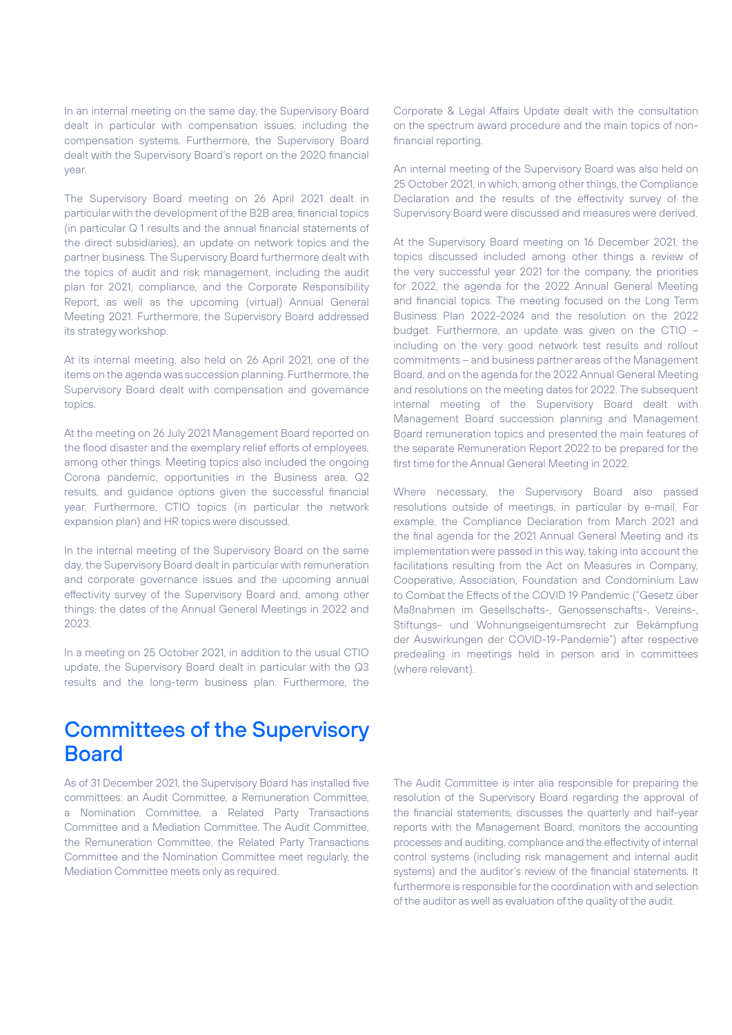In an internal meeting on the same day, the Supervisory Board dealt in particular with compensation issues, including the compensation systems. Furthermore, the Supervisory Board dealt with the Supervisory Board's report on the 2020 financial year.

The Supervisory Board meeting on 26 April 2021 dealt in particular with the development of the B2B area, financial topics (in particular Q 1 results and the annual financial statements of the direct subsidiaries), an update on network topics and the partner business. The Supervisory Board furthermore dealt with the topics of audit and risk management, including the audit plan for 2021, compliance, and the Corporate Responsibility Report, as well as the upcoming (virtual) Annual General Meeting 2021. Furthermore, the Supervisory Board addressed its strategy workshop.

At its internal meeting, also held on 26 April 2021, one of the items on the agenda was succession planning. Furthermore, the Supervisory Board dealt with compensation and governance topics.

At the meeting on 26 July 2021 Management Board reported on the flood disaster and the exemplary relief efforts of employees, among other things. Meeting topics also included the ongoing Corona pandemic, opportunities in the Business area, Q2 results, and guidance options given the successful financial year. Furthermore, CTIO topics (in particular the network expansion plan) and HR topics were discussed.

In the internal meeting of the Supervisory Board on the same day, the Supervisory Board dealt in particular with remuneration and corporate governance issues and the upcoming annual effectivity survey of the Supervisory Board and, among other things, the dates of the Annual General Meetings in 2022 and 2023.

In a meeting on 25 October 2021, in addition to the usual CTIO update, the Supervisory Board dealt in particular with the Q3 results and the long-term business plan. Furthermore, the Corporate & Legal Affairs Update dealt with the consultation on the spectrum award procedure and the main topics of nonfinancial reporting.

An internal meeting of the Supervisory Board was also held on 25 October 2021, in which, among other things, the Compliance Declaration and the results of the effectivity survey of the Supervisory Board were discussed and measures were derived.

At the Supervisory Board meeting on 16 December 2021, the topics discussed included among other things a review of the very successful year 2021 for the company, the priorities for 2022, the agenda for the 2022 Annual General Meeting and financial topics. The meeting focused on the Long Term Business Plan 2022-2024 and the resolution on the 2022 budget. Furthermore, an update was given on the CTIO – including on the very good network test results and rollout commitments – and business partner areas of the Management Board, and on the agenda for the 2022 Annual General Meeting and resolutions on the meeting dates for 2022. The subsequent internal meeting of the Supervisory Board dealt with Management Board succession planning and Management Board remuneration topics and presented the main features of the separate Remuneration Report 2022 to be prepared for the first time for the Annual General Meeting in 2022.

Where necessary, the Supervisory Board also passed resolutions outside of meetings, in particular by e-mail. For example, the Compliance Declaration from March 2021 and the final agenda for the 2021 Annual General Meeting and its implementation were passed in this way, taking into account the facilitations resulting from the Act on Measures in Company, Cooperative, Association, Foundation and Condominium Law to Combat the Effects of the COVID 19 Pandemic ("Gesetz über Maßnahmen im Gesellschafts-, Genossenschafts-, Vereins-, Stiftungs- und Wohnungseigentumsrecht zur Bekämpfung der Auswirkungen der COVID-19-Pandemie") after respective predealing in meetings held in person and in committees (where relevant).

#### Committees of the Supervisory **Board**

As of 31 December 2021, the Supervisory Board has installed five committees: an Audit Committee, a Remuneration Committee, a Nomination Committee, a Related Party Transactions Committee and a Mediation Committee. The Audit Committee, the Remuneration Committee, the Related Party Transactions Committee and the Nomination Committee meet regularly, the Mediation Committee meets only as required.

The Audit Committee is inter alia responsible for preparing the resolution of the Supervisory Board regarding the approval of the financial statements, discusses the quarterly and half-year reports with the Management Board, monitors the accounting processes and auditing, compliance and the effectivity of internal control systems (including risk management and internal audit systems) and the auditor's review of the financial statements. It furthermore is responsible for the coordination with and selection of the auditor as well as evaluation of the quality of the audit.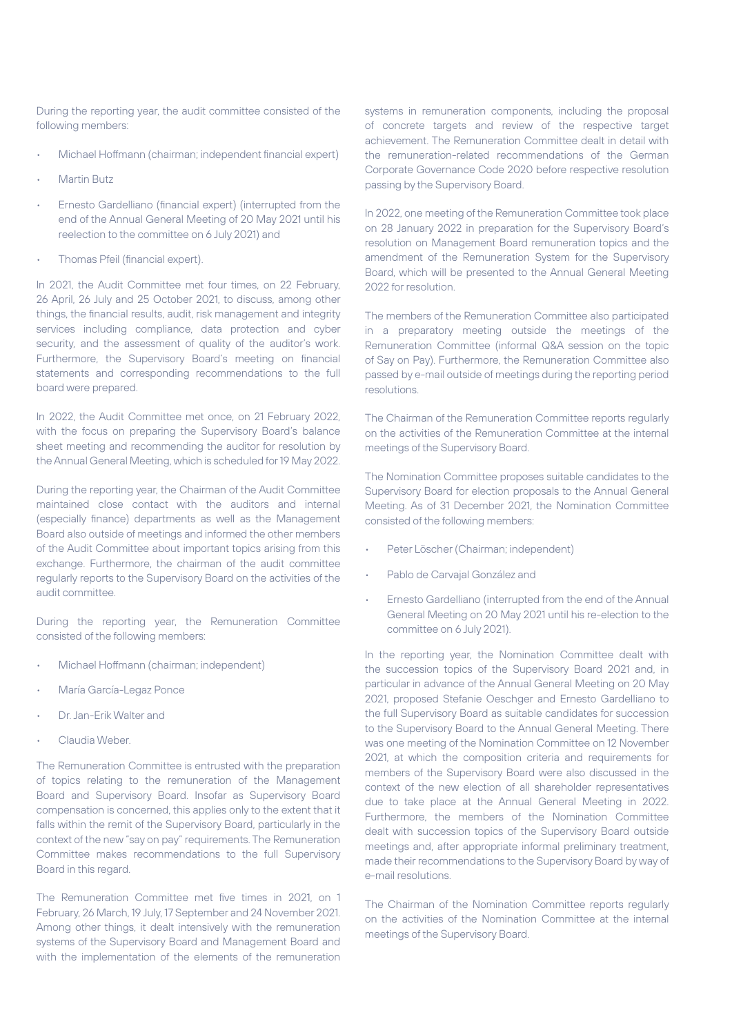During the reporting year, the audit committee consisted of the following members:

- Michael Hoffmann (chairman; independent financial expert)
- Martin Butz
- Ernesto Gardelliano (financial expert) (interrupted from the end of the Annual General Meeting of 20 May 2021 until his reelection to the committee on 6 July 2021) and
- Thomas Pfeil (financial expert).

In 2021, the Audit Committee met four times, on 22 February, 26 April, 26 July and 25 October 2021, to discuss, among other things, the financial results, audit, risk management and integrity services including compliance, data protection and cyber security, and the assessment of quality of the auditor's work. Furthermore, the Supervisory Board's meeting on financial statements and corresponding recommendations to the full board were prepared.

In 2022, the Audit Committee met once, on 21 February 2022, with the focus on preparing the Supervisory Board's balance sheet meeting and recommending the auditor for resolution by the Annual General Meeting, which is scheduled for 19 May 2022.

During the reporting year, the Chairman of the Audit Committee maintained close contact with the auditors and internal (especially finance) departments as well as the Management Board also outside of meetings and informed the other members of the Audit Committee about important topics arising from this exchange. Furthermore, the chairman of the audit committee regularly reports to the Supervisory Board on the activities of the audit committee.

During the reporting year, the Remuneration Committee consisted of the following members:

- Michael Hoffmann (chairman; independent)
- María García-Legaz Ponce
- Dr. Jan-Erik Walter and
- Claudia Weber.

The Remuneration Committee is entrusted with the preparation of topics relating to the remuneration of the Management Board and Supervisory Board. Insofar as Supervisory Board compensation is concerned, this applies only to the extent that it falls within the remit of the Supervisory Board, particularly in the context of the new "say on pay" requirements. The Remuneration Committee makes recommendations to the full Supervisory Board in this regard.

The Remuneration Committee met five times in 2021, on 1 February, 26 March, 19 July, 17 September and 24 November 2021. Among other things, it dealt intensively with the remuneration systems of the Supervisory Board and Management Board and with the implementation of the elements of the remuneration

systems in remuneration components, including the proposal of concrete targets and review of the respective target achievement. The Remuneration Committee dealt in detail with the remuneration-related recommendations of the German Corporate Governance Code 2020 before respective resolution passing by the Supervisory Board.

In 2022, one meeting of the Remuneration Committee took place on 28 January 2022 in preparation for the Supervisory Board's resolution on Management Board remuneration topics and the amendment of the Remuneration System for the Supervisory Board, which will be presented to the Annual General Meeting 2022 for resolution.

The members of the Remuneration Committee also participated in a preparatory meeting outside the meetings of the Remuneration Committee (informal Q&A session on the topic of Say on Pay). Furthermore, the Remuneration Committee also passed by e-mail outside of meetings during the reporting period resolutions.

The Chairman of the Remuneration Committee reports regularly on the activities of the Remuneration Committee at the internal meetings of the Supervisory Board.

The Nomination Committee proposes suitable candidates to the Supervisory Board for election proposals to the Annual General Meeting. As of 31 December 2021, the Nomination Committee consisted of the following members:

- Peter Löscher (Chairman; independent)
- Pablo de Carvajal González and
- Ernesto Gardelliano (interrupted from the end of the Annual General Meeting on 20 May 2021 until his re-election to the committee on 6 July 2021).

In the reporting year, the Nomination Committee dealt with the succession topics of the Supervisory Board 2021 and, in particular in advance of the Annual General Meeting on 20 May 2021, proposed Stefanie Oeschger and Ernesto Gardelliano to the full Supervisory Board as suitable candidates for succession to the Supervisory Board to the Annual General Meeting. There was one meeting of the Nomination Committee on 12 November 2021, at which the composition criteria and requirements for members of the Supervisory Board were also discussed in the context of the new election of all shareholder representatives due to take place at the Annual General Meeting in 2022. Furthermore, the members of the Nomination Committee dealt with succession topics of the Supervisory Board outside meetings and, after appropriate informal preliminary treatment, made their recommendations to the Supervisory Board by way of e-mail resolutions.

The Chairman of the Nomination Committee reports regularly on the activities of the Nomination Committee at the internal meetings of the Supervisory Board.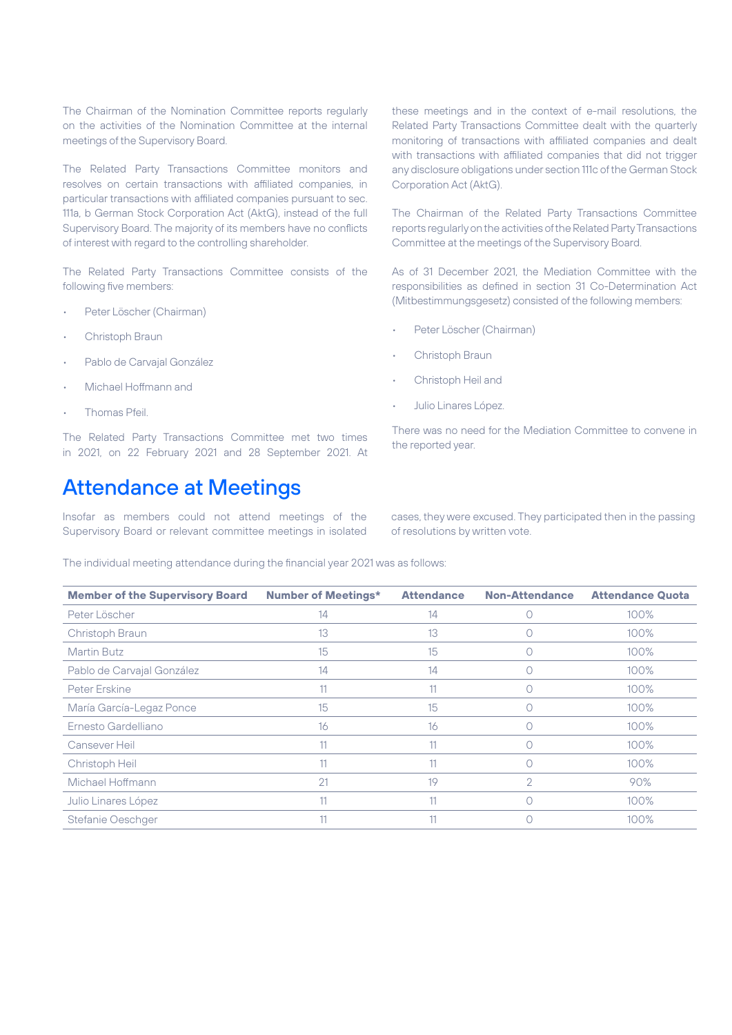The Chairman of the Nomination Committee reports regularly on the activities of the Nomination Committee at the internal meetings of the Supervisory Board.

The Related Party Transactions Committee monitors and resolves on certain transactions with affiliated companies, in particular transactions with affiliated companies pursuant to sec. 111a, b German Stock Corporation Act (AktG), instead of the full Supervisory Board. The majority of its members have no conflicts of interest with regard to the controlling shareholder.

The Related Party Transactions Committee consists of the following five members:

- Peter Löscher (Chairman)
- Christoph Braun
- Pablo de Carvajal González
- Michael Hoffmann and
- Thomas Pfeil.

The Related Party Transactions Committee met two times in 2021, on 22 February 2021 and 28 September 2021. At

#### Attendance at Meetings

Insofar as members could not attend meetings of the Supervisory Board or relevant committee meetings in isolated

these meetings and in the context of e-mail resolutions, the Related Party Transactions Committee dealt with the quarterly monitoring of transactions with affiliated companies and dealt with transactions with affiliated companies that did not trigger any disclosure obligations under section 111c of the German Stock Corporation Act (AktG).

The Chairman of the Related Party Transactions Committee reports regularly on the activities of the Related Party Transactions Committee at the meetings of the Supervisory Board.

As of 31 December 2021, the Mediation Committee with the responsibilities as defined in section 31 Co-Determination Act (Mitbestimmungsgesetz) consisted of the following members:

- Peter Löscher (Chairman)
- Christoph Braun
- Christoph Heil and
- Julio Linares López.

There was no need for the Mediation Committee to convene in the reported year.

cases, they were excused. They participated then in the passing of resolutions by written vote.

The individual meeting attendance during the financial year 2021 was as follows:

| <b>Member of the Supervisory Board</b> | <b>Number of Meetings*</b> | <b>Attendance</b> | <b>Non-Attendance</b> | <b>Attendance Quota</b> |
|----------------------------------------|----------------------------|-------------------|-----------------------|-------------------------|
| Peter Löscher                          | 14                         | 14                |                       | 100%                    |
| Christoph Braun                        | 13                         | 13                |                       | $100\%$                 |
| <b>Martin Butz</b>                     | 15                         | 15                | 0                     | $100\%$                 |
| Pablo de Carvajal González             | 14                         | 14                |                       | 100%                    |
| Peter Erskine                          | 11                         | 11                |                       | 100%                    |
| María García-Legaz Ponce               | 15                         | 15                |                       | 100%                    |
| Ernesto Gardelliano                    | 16                         | 16                |                       | 100%                    |
| Cansever Heil                          | 11                         | 11                |                       | 100%                    |
| Christoph Heil                         | 11                         | 11                |                       | 100%                    |
| Michael Hoffmann                       | 21                         | 19                | $\overline{2}$        | 90%                     |
| Julio Linares López                    | 11                         | 11                |                       | 100%                    |
| Stefanie Oeschger                      | 11                         | 11                |                       | 100%                    |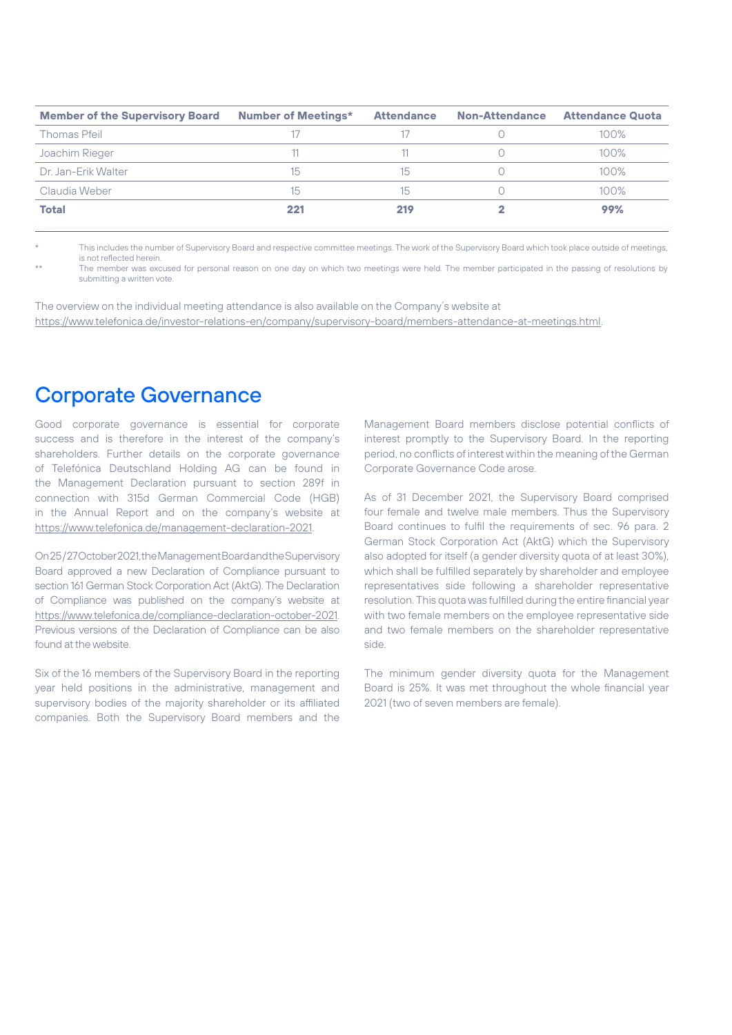| <b>Member of the Supervisory Board</b> | <b>Number of Meetings*</b> | <b>Attendance</b> | <b>Non-Attendance</b> | <b>Attendance Quota</b> |
|----------------------------------------|----------------------------|-------------------|-----------------------|-------------------------|
| <b>Thomas Pfeil</b>                    |                            |                   |                       | $100\%$                 |
| Joachim Rieger                         |                            |                   |                       | $100\%$                 |
| Dr. Jan-Erik Walter                    | 15                         | 15                |                       | $100\%$                 |
| Claudia Weber                          | 15                         | 15                |                       | $100\%$                 |
| <b>Total</b>                           | 221                        | 219               |                       | 99%                     |

This includes the number of Supervisory Board and respective committee meetings. The work of the Supervisory Board which took place outside of meetings, is not reflected herein.

The member was excused for personal reason on one day on which two meetings were held. The member participated in the passing of resolutions by submitting a written vote.

The overview on the individual meeting attendance is also available on the Company´s website at [https://www.telefonica.de/investor-relations-en/company/supervisory-board/members-attendance-at-meetings.html.](https://www.telefonica.de/investor-relations-en/company/supervisory-board/members-attendance-at-meetings.html)

#### Corporate Governance

Good corporate governance is essential for corporate success and is therefore in the interest of the company's shareholders. Further details on the corporate governance of Telefónica Deutschland Holding AG can be found in the Management Declaration pursuant to section 289f in connection with 315d German Commercial Code (HGB) in the Annual Report and on the company's website at [https://www.telefonica.de/management-declaration-2021.](https://www.telefonica.de/management-declaration-2021)

On 25 / 27 October 2021, the Management Board and the Supervisory Board approved a new Declaration of Compliance pursuant to section 161 German Stock Corporation Act (AktG). The Declaration of Compliance was published on the company's website at [https://www.telefonica.de/compliance-declaration-october-2021.](https://www.telefonica.de/compliance-declaration-october-2021) Previous versions of the Declaration of Compliance can be also found at the website.

Six of the 16 members of the Supervisory Board in the reporting year held positions in the administrative, management and supervisory bodies of the majority shareholder or its affiliated companies. Both the Supervisory Board members and the

Management Board members disclose potential conflicts of interest promptly to the Supervisory Board. In the reporting period, no conflicts of interest within the meaning of the German Corporate Governance Code arose.

As of 31 December 2021, the Supervisory Board comprised four female and twelve male members. Thus the Supervisory Board continues to fulfil the requirements of sec. 96 para. 2 German Stock Corporation Act (AktG) which the Supervisory also adopted for itself (a gender diversity quota of at least 30%), which shall be fulfilled separately by shareholder and employee representatives side following a shareholder representative resolution. This quota was fulfilled during the entire financial year with two female members on the employee representative side and two female members on the shareholder representative side.

The minimum gender diversity quota for the Management Board is 25%. It was met throughout the whole financial year 2021 (two of seven members are female).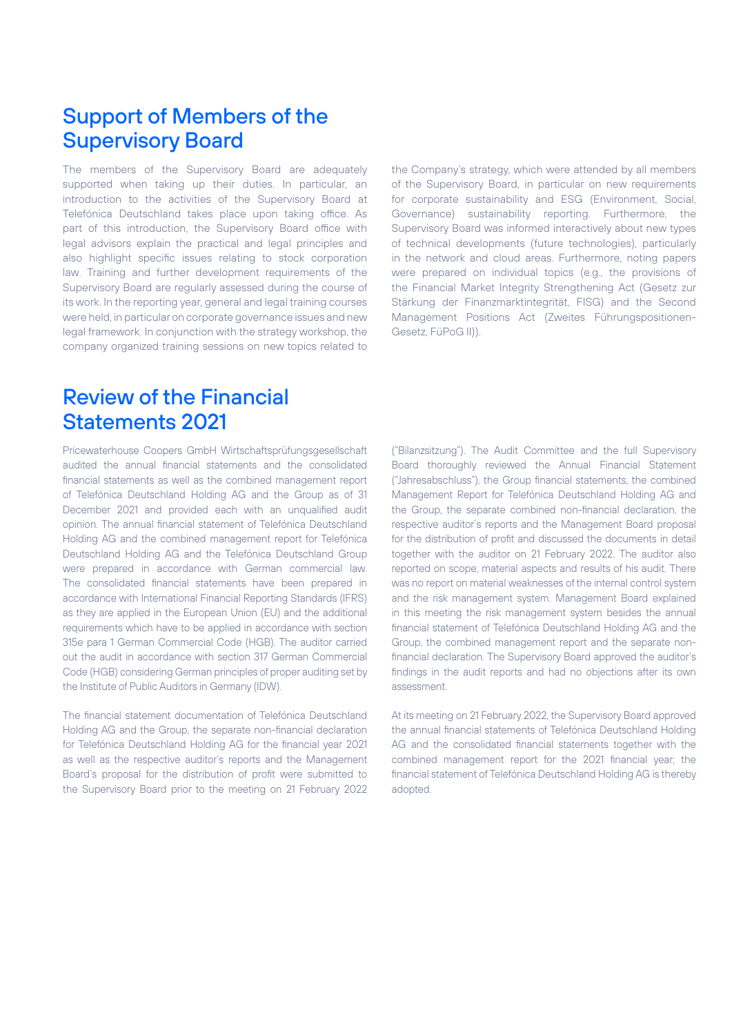#### Support of Members of the Supervisory Board

The members of the Supervisory Board are adequately supported when taking up their duties. In particular, an introduction to the activities of the Supervisory Board at Telefónica Deutschland takes place upon taking office. As part of this introduction, the Supervisory Board office with legal advisors explain the practical and legal principles and also highlight specific issues relating to stock corporation law. Training and further development requirements of the Supervisory Board are regularly assessed during the course of its work. In the reporting year, general and legal training courses were held, in particular on corporate governance issues and new legal framework. In conjunction with the strategy workshop, the company organized training sessions on new topics related to the Company's strategy, which were attended by all members of the Supervisory Board, in particular on new requirements for corporate sustainability and ESG (Environment, Social, Governance) sustainability reporting. Furthermore, the Supervisory Board was informed interactively about new types of technical developments (future technologies), particularly in the network and cloud areas. Furthermore, noting papers were prepared on individual topics (e.g., the provisions of the Financial Market Integrity Strengthening Act (Gesetz zur Stärkung der Finanzmarktintegrität, FISG) and the Second Management Positions Act (Zweites Führungspositionen-Gesetz, FüPoG II)).

#### Review of the Financial Statements 2021

Pricewaterhouse Coopers GmbH Wirtschaftsprüfungsgesellschaft audited the annual financial statements and the consolidated financial statements as well as the combined management report of Telefónica Deutschland Holding AG and the Group as of 31 December 2021 and provided each with an unqualified audit opinion. The annual financial statement of Telefónica Deutschland Holding AG and the combined management report for Telefónica Deutschland Holding AG and the Telefónica Deutschland Group were prepared in accordance with German commercial law. The consolidated financial statements have been prepared in accordance with International Financial Reporting Standards (IFRS) as they are applied in the European Union (EU) and the additional requirements which have to be applied in accordance with section 315e para 1 German Commercial Code (HGB). The auditor carried out the audit in accordance with section 317 German Commercial Code (HGB) considering German principles of proper auditing set by the Institute of Public Auditors in Germany (IDW).

The financial statement documentation of Telefónica Deutschland Holding AG and the Group, the separate non-financial declaration for Telefónica Deutschland Holding AG for the financial year 2021 as well as the respective auditor's reports and the Management Board's proposal for the distribution of profit were submitted to the Supervisory Board prior to the meeting on 21 February 2022 ("Bilanzsitzung"). The Audit Committee and the full Supervisory Board thoroughly reviewed the Annual Financial Statement ("Jahresabschluss"), the Group financial statements, the combined Management Report for Telefónica Deutschland Holding AG and the Group, the separate combined non-financial declaration, the respective auditor´s reports and the Management Board proposal for the distribution of profit and discussed the documents in detail together with the auditor on 21 February 2022. The auditor also reported on scope, material aspects and results of his audit. There was no report on material weaknesses of the internal control system and the risk management system. Management Board explained in this meeting the risk management system besides the annual financial statement of Telefónica Deutschland Holding AG and the Group, the combined management report and the separate nonfinancial declaration. The Supervisory Board approved the auditor's findings in the audit reports and had no objections after its own assessment.

At its meeting on 21 February 2022, the Supervisory Board approved the annual financial statements of Telefónica Deutschland Holding AG and the consolidated financial statements together with the combined management report for the 2021 financial year; the financial statement of Telefónica Deutschland Holding AG is thereby adopted.